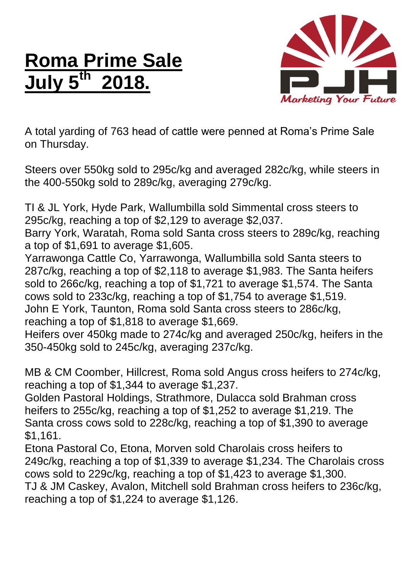## **Roma Prime Sale July 5 th 2018.**



A total yarding of 763 head of cattle were penned at Roma's Prime Sale on Thursday.

Steers over 550kg sold to 295c/kg and averaged 282c/kg, while steers in the 400-550kg sold to 289c/kg, averaging 279c/kg.

TI & JL York, Hyde Park, Wallumbilla sold Simmental cross steers to 295c/kg, reaching a top of \$2,129 to average \$2,037.

Barry York, Waratah, Roma sold Santa cross steers to 289c/kg, reaching a top of \$1,691 to average \$1,605.

Yarrawonga Cattle Co, Yarrawonga, Wallumbilla sold Santa steers to 287c/kg, reaching a top of \$2,118 to average \$1,983. The Santa heifers sold to 266c/kg, reaching a top of \$1,721 to average \$1,574. The Santa cows sold to 233c/kg, reaching a top of \$1,754 to average \$1,519. John E York, Taunton, Roma sold Santa cross steers to 286c/kg, reaching a top of \$1,818 to average \$1,669.

Heifers over 450kg made to 274c/kg and averaged 250c/kg, heifers in the 350-450kg sold to 245c/kg, averaging 237c/kg.

MB & CM Coomber, Hillcrest, Roma sold Angus cross heifers to 274c/kg, reaching a top of \$1,344 to average \$1,237.

Golden Pastoral Holdings, Strathmore, Dulacca sold Brahman cross heifers to 255c/kg, reaching a top of \$1,252 to average \$1,219. The Santa cross cows sold to 228c/kg, reaching a top of \$1,390 to average \$1,161.

Etona Pastoral Co, Etona, Morven sold Charolais cross heifers to 249c/kg, reaching a top of \$1,339 to average \$1,234. The Charolais cross cows sold to 229c/kg, reaching a top of \$1,423 to average \$1,300. TJ & JM Caskey, Avalon, Mitchell sold Brahman cross heifers to 236c/kg, reaching a top of \$1,224 to average \$1,126.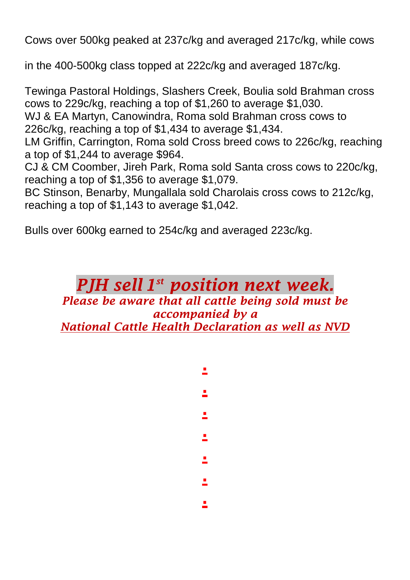Cows over 500kg peaked at 237c/kg and averaged 217c/kg, while cows

in the 400-500kg class topped at 222c/kg and averaged 187c/kg.

Tewinga Pastoral Holdings, Slashers Creek, Boulia sold Brahman cross cows to 229c/kg, reaching a top of \$1,260 to average \$1,030.

WJ & EA Martyn, Canowindra, Roma sold Brahman cross cows to 226c/kg, reaching a top of \$1,434 to average \$1,434.

LM Griffin, Carrington, Roma sold Cross breed cows to 226c/kg, reaching a top of \$1,244 to average \$964.

CJ & CM Coomber, Jireh Park, Roma sold Santa cross cows to 220c/kg, reaching a top of \$1,356 to average \$1,079.

BC Stinson, Benarby, Mungallala sold Charolais cross cows to 212c/kg, reaching a top of \$1,143 to average \$1,042.

Bulls over 600kg earned to 254c/kg and averaged 223c/kg.

## *PJH sell 1 st position next week.*

## *Please be aware that all cattle being sold must be accompanied by a National Cattle Health Declaration as well as NVD*

**.**

**.**

**.**

**.**

**.**

**.**

**.**